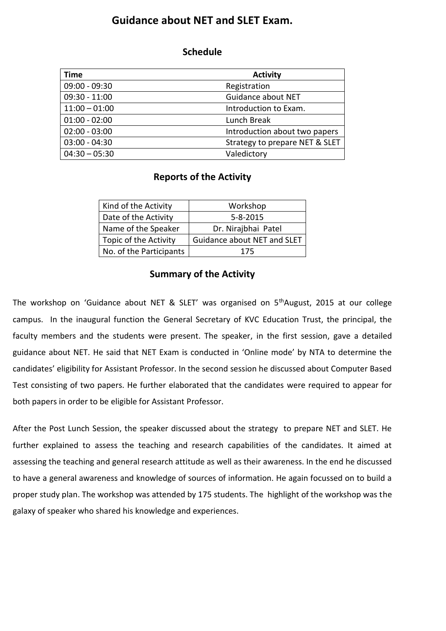## **Guidance about NET and SLET Exam.**

## **Schedule**

| <b>Time</b>     | <b>Activity</b>                |
|-----------------|--------------------------------|
| $09:00 - 09:30$ | Registration                   |
| $09:30 - 11:00$ | Guidance about NET             |
| $11:00 - 01:00$ | Introduction to Exam.          |
| $01:00 - 02:00$ | Lunch Break                    |
| $02:00 - 03:00$ | Introduction about two papers  |
| $03:00 - 04:30$ | Strategy to prepare NET & SLET |
| $04:30 - 05:30$ | Valedictory                    |

## **Reports of the Activity**

| Kind of the Activity    | Workshop                           |
|-------------------------|------------------------------------|
| Date of the Activity    | $5 - 8 - 2015$                     |
| Name of the Speaker     | Dr. Nirajbhai Patel                |
| Topic of the Activity   | <b>Guidance about NET and SLET</b> |
| No. of the Participants | 175                                |

## **Summary of the Activity**

The workshop on 'Guidance about NET & SLET' was organised on 5<sup>th</sup>August, 2015 at our college campus. In the inaugural function the General Secretary of KVC Education Trust, the principal, the faculty members and the students were present. The speaker, in the first session, gave a detailed guidance about NET. He said that NET Exam is conducted in 'Online mode' by NTA to determine the candidates' eligibility for Assistant Professor. In the second session he discussed about Computer Based Test consisting of two papers. He further elaborated that the candidates were required to appear for both papers in order to be eligible for Assistant Professor.

After the Post Lunch Session, the speaker discussed about the strategy to prepare NET and SLET. He further explained to assess the teaching and research capabilities of the candidates. It aimed at assessing the teaching and general research attitude as well as their awareness. In the end he discussed to have a general awareness and knowledge of sources of information. He again focussed on to build a proper study plan. The workshop was attended by 175 students. The highlight of the workshop was the galaxy of speaker who shared his knowledge and experiences.